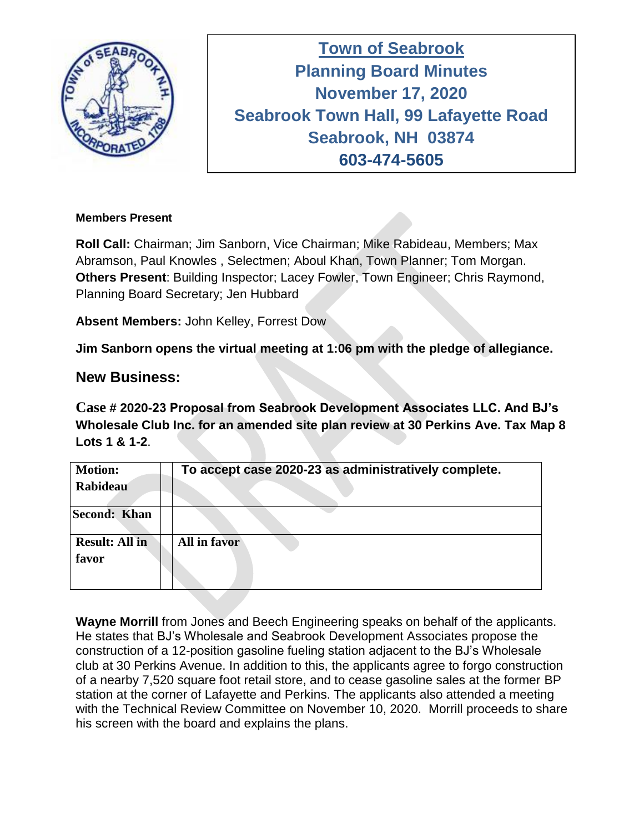

**Town of Seabrook Planning Board Minutes November 17, 2020 Seabrook Town Hall, 99 Lafayette Road Seabrook, NH 03874 603-474-5605**

#### **Members Present**

**Roll Call:** Chairman; Jim Sanborn, Vice Chairman; Mike Rabideau, Members; Max Abramson, Paul Knowles , Selectmen; Aboul Khan, Town Planner; Tom Morgan. **Others Present**: Building Inspector; Lacey Fowler, Town Engineer; Chris Raymond, Planning Board Secretary; Jen Hubbard

**Absent Members:** John Kelley, Forrest Dow

**Jim Sanborn opens the virtual meeting at 1:06 pm with the pledge of allegiance.** 

## **New Business:**

**Case # 2020-23 Proposal from Seabrook Development Associates LLC. And BJ's Wholesale Club Inc. for an amended site plan review at 30 Perkins Ave. Tax Map 8 Lots 1 & 1-2**.

| <b>Motion:</b>        | To accept case 2020-23 as administratively complete. |
|-----------------------|------------------------------------------------------|
| Rabideau              |                                                      |
| Second: Khan          |                                                      |
| <b>Result: All in</b> | <b>All in favor</b>                                  |
| favor                 |                                                      |

**Wayne Morrill** from Jones and Beech Engineering speaks on behalf of the applicants. He states that BJ's Wholesale and Seabrook Development Associates propose the construction of a 12-position gasoline fueling station adjacent to the BJ's Wholesale club at 30 Perkins Avenue. In addition to this, the applicants agree to forgo construction of a nearby 7,520 square foot retail store, and to cease gasoline sales at the former BP station at the corner of Lafayette and Perkins. The applicants also attended a meeting with the Technical Review Committee on November 10, 2020. Morrill proceeds to share his screen with the board and explains the plans.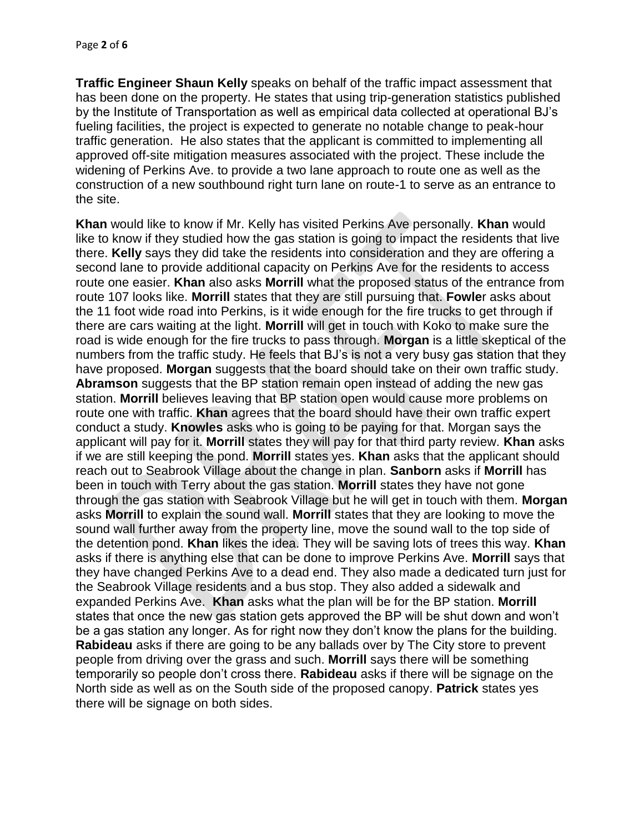**Traffic Engineer Shaun Kelly** speaks on behalf of the traffic impact assessment that has been done on the property. He states that using trip-generation statistics published by the Institute of Transportation as well as empirical data collected at operational BJ's fueling facilities, the project is expected to generate no notable change to peak-hour traffic generation. He also states that the applicant is committed to implementing all approved off-site mitigation measures associated with the project. These include the widening of Perkins Ave. to provide a two lane approach to route one as well as the construction of a new southbound right turn lane on route-1 to serve as an entrance to the site.

**Khan** would like to know if Mr. Kelly has visited Perkins Ave personally. **Khan** would like to know if they studied how the gas station is going to impact the residents that live there. **Kelly** says they did take the residents into consideration and they are offering a second lane to provide additional capacity on Perkins Ave for the residents to access route one easier. **Khan** also asks **Morrill** what the proposed status of the entrance from route 107 looks like. **Morrill** states that they are still pursuing that. **Fowle**r asks about the 11 foot wide road into Perkins, is it wide enough for the fire trucks to get through if there are cars waiting at the light. **Morrill** will get in touch with Koko to make sure the road is wide enough for the fire trucks to pass through. **Morgan** is a little skeptical of the numbers from the traffic study. He feels that BJ's is not a very busy gas station that they have proposed. **Morgan** suggests that the board should take on their own traffic study. **Abramson** suggests that the BP station remain open instead of adding the new gas station. **Morrill** believes leaving that BP station open would cause more problems on route one with traffic. **Khan** agrees that the board should have their own traffic expert conduct a study. **Knowles** asks who is going to be paying for that. Morgan says the applicant will pay for it. **Morrill** states they will pay for that third party review. **Khan** asks if we are still keeping the pond. **Morrill** states yes. **Khan** asks that the applicant should reach out to Seabrook Village about the change in plan. **Sanborn** asks if **Morrill** has been in touch with Terry about the gas station. **Morrill** states they have not gone through the gas station with Seabrook Village but he will get in touch with them. **Morgan** asks **Morrill** to explain the sound wall. **Morrill** states that they are looking to move the sound wall further away from the property line, move the sound wall to the top side of the detention pond. **Khan** likes the idea. They will be saving lots of trees this way. **Khan**  asks if there is anything else that can be done to improve Perkins Ave. **Morrill** says that they have changed Perkins Ave to a dead end. They also made a dedicated turn just for the Seabrook Village residents and a bus stop. They also added a sidewalk and expanded Perkins Ave. **Khan** asks what the plan will be for the BP station. **Morrill**  states that once the new gas station gets approved the BP will be shut down and won't be a gas station any longer. As for right now they don't know the plans for the building. **Rabideau** asks if there are going to be any ballads over by The City store to prevent people from driving over the grass and such. **Morrill** says there will be something temporarily so people don't cross there. **Rabideau** asks if there will be signage on the North side as well as on the South side of the proposed canopy. **Patrick** states yes there will be signage on both sides.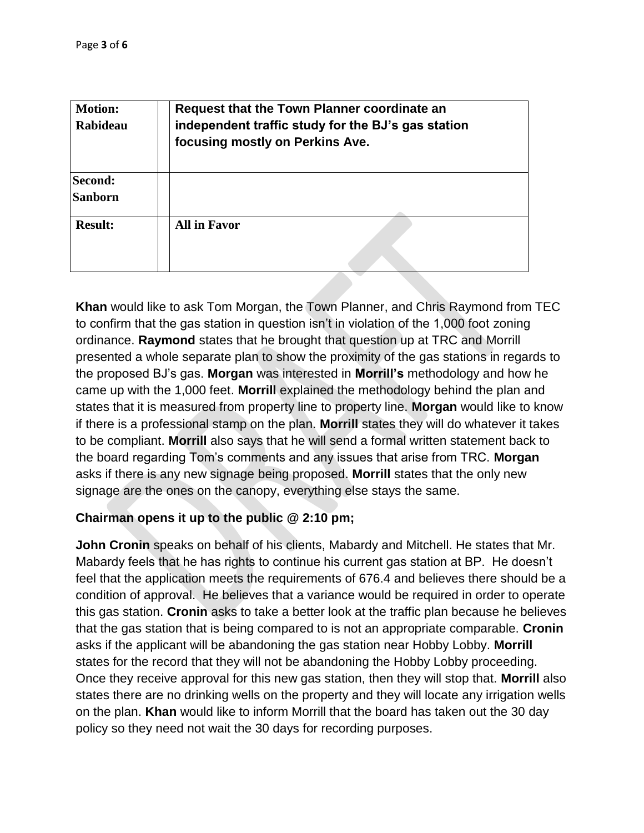| <b>Motion:</b><br>Rabideau | Request that the Town Planner coordinate an<br>independent traffic study for the BJ's gas station<br>focusing mostly on Perkins Ave. |
|----------------------------|--------------------------------------------------------------------------------------------------------------------------------------|
| Second:<br><b>Sanborn</b>  |                                                                                                                                      |
| <b>Result:</b>             | <b>All in Favor</b>                                                                                                                  |

**Khan** would like to ask Tom Morgan, the Town Planner, and Chris Raymond from TEC to confirm that the gas station in question isn't in violation of the 1,000 foot zoning ordinance. **Raymond** states that he brought that question up at TRC and Morrill presented a whole separate plan to show the proximity of the gas stations in regards to the proposed BJ's gas. **Morgan** was interested in **Morrill's** methodology and how he came up with the 1,000 feet. **Morrill** explained the methodology behind the plan and states that it is measured from property line to property line. **Morgan** would like to know if there is a professional stamp on the plan. **Morrill** states they will do whatever it takes to be compliant. **Morrill** also says that he will send a formal written statement back to the board regarding Tom's comments and any issues that arise from TRC. **Morgan** asks if there is any new signage being proposed. **Morrill** states that the only new signage are the ones on the canopy, everything else stays the same.

### **Chairman opens it up to the public @ 2:10 pm;**

**John Cronin** speaks on behalf of his clients, Mabardy and Mitchell. He states that Mr. Mabardy feels that he has rights to continue his current gas station at BP. He doesn't feel that the application meets the requirements of 676.4 and believes there should be a condition of approval. He believes that a variance would be required in order to operate this gas station. **Cronin** asks to take a better look at the traffic plan because he believes that the gas station that is being compared to is not an appropriate comparable. **Cronin**  asks if the applicant will be abandoning the gas station near Hobby Lobby. **Morrill** states for the record that they will not be abandoning the Hobby Lobby proceeding. Once they receive approval for this new gas station, then they will stop that. **Morrill** also states there are no drinking wells on the property and they will locate any irrigation wells on the plan. **Khan** would like to inform Morrill that the board has taken out the 30 day policy so they need not wait the 30 days for recording purposes.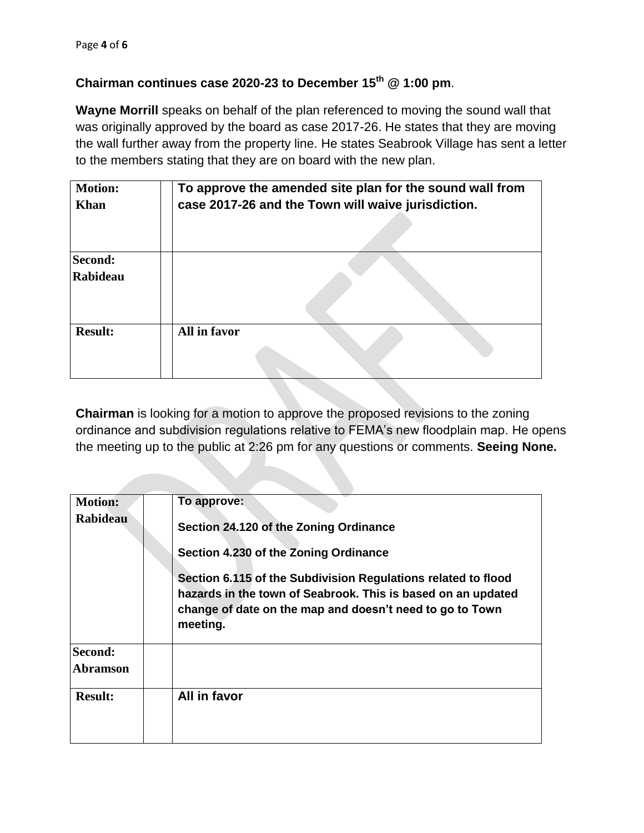## **Chairman continues case 2020-23 to December 15th @ 1:00 pm**.

**Wayne Morrill** speaks on behalf of the plan referenced to moving the sound wall that was originally approved by the board as case 2017-26. He states that they are moving the wall further away from the property line. He states Seabrook Village has sent a letter to the members stating that they are on board with the new plan.

| <b>Motion:</b><br><b>Khan</b> | To approve the amended site plan for the sound wall from<br>case 2017-26 and the Town will waive jurisdiction. |
|-------------------------------|----------------------------------------------------------------------------------------------------------------|
|                               |                                                                                                                |
| <b>Second:</b><br>Rabideau    |                                                                                                                |
|                               |                                                                                                                |
| <b>Result:</b>                | All in favor                                                                                                   |

**Chairman** is looking for a motion to approve the proposed revisions to the zoning ordinance and subdivision regulations relative to FEMA's new floodplain map. He opens the meeting up to the public at 2:26 pm for any questions or comments. **Seeing None.**

| <b>Motion:</b><br><b>Rabideau</b>            | To approve:<br>Section 24.120 of the Zoning Ordinance<br>Section 4.230 of the Zoning Ordinance<br>Section 6.115 of the Subdivision Regulations related to flood<br>hazards in the town of Seabrook. This is based on an updated<br>change of date on the map and doesn't need to go to Town<br>meeting. |
|----------------------------------------------|---------------------------------------------------------------------------------------------------------------------------------------------------------------------------------------------------------------------------------------------------------------------------------------------------------|
| Second:<br><b>Abramson</b><br><b>Result:</b> | All in favor                                                                                                                                                                                                                                                                                            |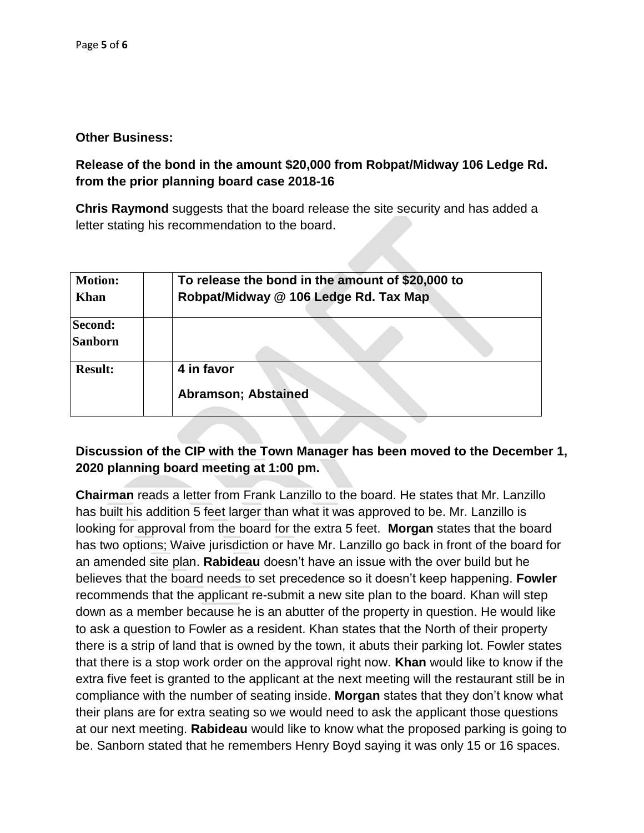#### **Other Business:**

## **Release of the bond in the amount \$20,000 from Robpat/Midway 106 Ledge Rd. from the prior planning board case 2018-16**

**Chris Raymond** suggests that the board release the site security and has added a letter stating his recommendation to the board.

| <b>Motion:</b><br><b>Khan</b> | To release the bond in the amount of \$20,000 to<br>Robpat/Midway @ 106 Ledge Rd. Tax Map |
|-------------------------------|-------------------------------------------------------------------------------------------|
| Second:<br><b>Sanborn</b>     |                                                                                           |
| <b>Result:</b>                | 4 in favor<br><b>Abramson; Abstained</b>                                                  |

## **Discussion of the CIP with the Town Manager has been moved to the December 1, 2020 planning board meeting at 1:00 pm.**

**Chairman** reads a letter from Frank Lanzillo to the board. He states that Mr. Lanzillo has built his addition 5 feet larger than what it was approved to be. Mr. Lanzillo is looking for approval from the board for the extra 5 feet. **Morgan** states that the board has two options; Waive jurisdiction or have Mr. Lanzillo go back in front of the board for an amended site plan. **Rabideau** doesn't have an issue with the over build but he believes that the board needs to set precedence so it doesn't keep happening. **Fowler** recommends that the applicant re-submit a new site plan to the board. Khan will step down as a member because he is an abutter of the property in question. He would like to ask a question to Fowler as a resident. Khan states that the North of their property there is a strip of land that is owned by the town, it abuts their parking lot. Fowler states that there is a stop work order on the approval right now. **Khan** would like to know if the extra five feet is granted to the applicant at the next meeting will the restaurant still be in compliance with the number of seating inside. **Morgan** states that they don't know what their plans are for extra seating so we would need to ask the applicant those questions at our next meeting. **Rabideau** would like to know what the proposed parking is going to be. Sanborn stated that he remembers Henry Boyd saying it was only 15 or 16 spaces.